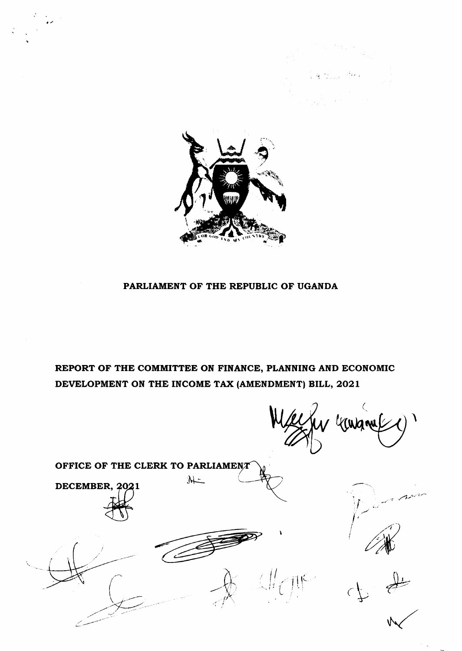



# PARLIAMENT OF THE REPUBLIC OF UGANDA

REPORT OF THE COMMITTEE ON FINANCE, PLANNING AND ECONOMIC DEVELOPMENT ON THE INCOME TAX (AMENDMENT) BILL, 2021

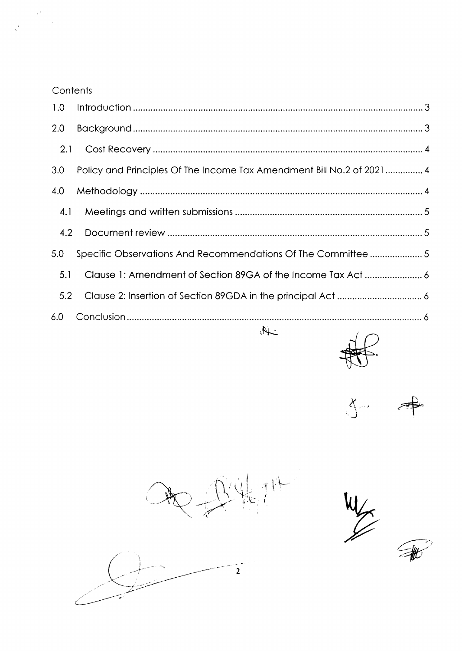# **Contents**

| 1.0 |                                                                       |  |
|-----|-----------------------------------------------------------------------|--|
| 2.0 |                                                                       |  |
| 2.1 |                                                                       |  |
| 3.0 | Policy and Principles Of The Income Tax Amendment Bill No.2 of 2021 4 |  |
| 4.0 |                                                                       |  |
| 4.1 |                                                                       |  |
| 4.2 |                                                                       |  |
| 5.0 | Specific Observations And Recommendations Of The Committee  5         |  |
| 5.1 |                                                                       |  |
| 5.2 |                                                                       |  |
| 6.0 |                                                                       |  |
|     | $\overline{\mathcal{M}}$<br>$\sim$                                    |  |

 $\lambda$  $3 - 4$ 

 $\frac{1}{\sqrt{2}}$ 1 I  $\bigcap_{\lambda}$ 

 $\mathcal{H}'$ 

 $\overline{2}$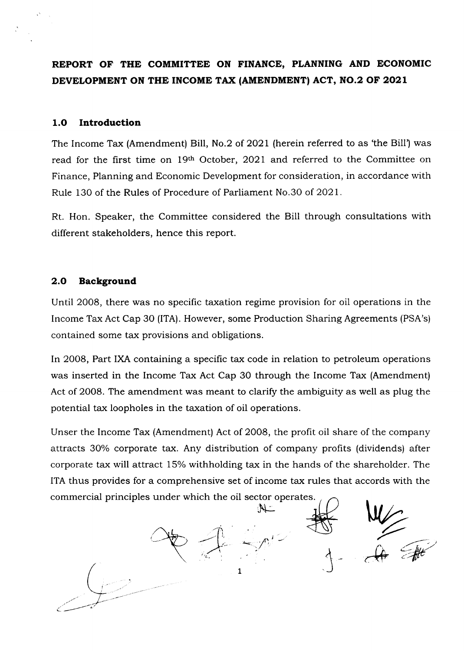REPORT OF THE COMMITTEE ON FINANCE, PLANNING AND ECONOMIC DEVELOPMENT ON THE INCOME TAX (AMENDMENT) ACT, NO.2 OF 2021

## 1.O Introduction

The Income Tax (Amendment) Bill, No.2 of 2021 (herein referred to as 'the Bill') was read for the first time on 19th October, 2021 and referred to the Committee on Finance, Planning and Economic Development for consideration, in accordance with Rule 130 of the Rules of Procedure of Parliament No.30 of 2O2L.

Rt. Hon. Speaker, the Committee considered the Bill through consultations with different stakeholders, hence this report.

## 2.O Background

Until 2008, there was no specific taxation regime provision for oil operations in the Income Tax Act Cap 30 (lTA). However, some Production Sharing Agreements (PSA's) contained some tax provisions and obligations.

In 2008, Part IXA containing a specific tax code in relation to petroleum operations was inserted in the Income Tax Act Cap 30 through the Income Tax (Amendment) Act of 2OO8. The amendment was meant to clarify the ambiguity as well as plug the potential tax loopholes in the taxation of oil operations.

Unser the Income Tax (Amendment) Act of 2008, the profit oil share of the company attracts 30% corporate tax. Any distribution of company profits (dividends) after corporate tax will attract 15% withholding tax in the hands of the shareholder. The ITA thus provides for a comprehensive set of income tax rules that accords with the commercial principles under which the oil sector operates.

 $Z_{\rm eff}$  $A = \frac{1}{\sqrt{2\pi}}$  $\mathcal{F}$ i' 1  $\mathcal{P}$   $\mathcal{P}$   $\mathcal{P}$ )  $\mathcal{V}^{\ast}$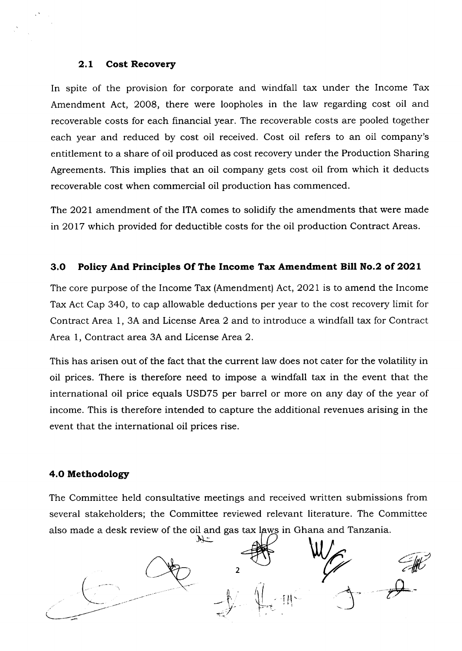### 2,L Cost Recovery

In spite of the provision for corporate and windfall tax under the Income Tax Amendment Act, 2008, there were loopholes in the law regarding cost oil and recoverable costs for each financial year. The recoverable costs are pooled together each year and reduced by cost oil received. Cost oil refers to an oil company's entitlement to a share of oil produced as cost recovery under the Production Sharing Agreements. This implies that an oil company gets cost oil from which it deducts recoverable cost when commercial oil production has commenced.

The 2021 amendment of the ITA comes to solidify the amendments that were made in 2O17 which provided for deductible costs for the oil production Contract Areas.

## 3.O Policy And Principles Of The Income Tax Amendment Bill No.2 of 2O2L

The core purpose of the Income Tax (Amendment) Act,2021 is to amend the Income Tax Act Cap 340, to cap allowable deductions per year to the cost recovery limit for Contract Area 1, 3A and License Area 2 and to introduce a windfall tax for Contract Area 1, Contract area 3A and License Area 2.

This has arisen out of the fact that the current law does not cater for the volatility in oil prices. There is therefore need to impose a windfall tax in the event that the international oil price equals USD75 per barrel or more on any day of the year of income. This is therefore intended to capture the additional revenues arising in the event that the international oil prices rise.

### 4.O Methodology

The Committee held consultative meetings and received written submissions from several stakeholders; the Committee reviewed relevant literature. The Committee also made a desk review of the oil and gas tax laws in Ghana and Tanzania.

 $\frac{2}{\sqrt{2}}$ 1  $\mathcal{F}$ -{M'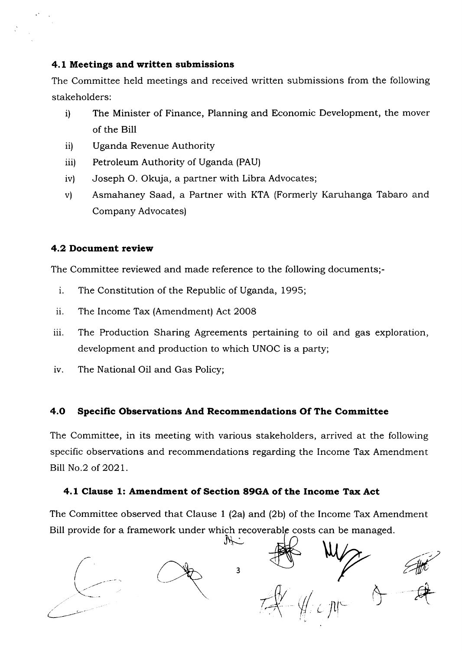### 4.1 Meetings and written submissions

The Committee held meetings and received written submissions from the following stakeholders:

- i) The Minister of Finance, Planning and Economic Development, the mover of the Bill
- ii) Uganda Revenue Authority
- iii) Petroleum Authority of Uganda (PAU)
- iv) Joseph O. Okuja, a partner with Libra Advocates;
- v) Asmahaney Saad, a Partner with KTA (Formerly Karuhanga Tabaro and Company Advocates)

# 4.2 Document review

The Committee reviewed and made reference to the following documents;-

- i. The Constitution of the Republic of Uganda, 1995;
- ii. The Income Tax (Amendment) Act <sup>2008</sup>
- iii. The Production Sharing Agreements pertaining to oil and gas exploration, development and production to which UNOC is a party;
- iv. The National Oil and Gas Policy;

# 4.O Specific Observations And Recommendations Of The Committee

The Committee, in its meeting with various stakeholders, arrived at the following specific observations and recommendations regarding the Income Tax Amendment Bill No.2 of 2021.

# 4.1 Clause 1: Amendment of Section 89GA of the Income Tax Act

The Committee observed that Clause 1 (2a) and (2b) of the Income Tax Amendment Bill provide for a framework under which recoverable costs can be managed.<br>  $\bigcap_{i=1}^{\infty}$ 

 $\in$  /tl  $\sim$  $\overline{\phantom{a}}$  $\frac{1}{3}$   $\frac{1}{3}$   $\frac{1}{3}$   $\frac{1}{3}$   $\frac{1}{3}$   $\frac{1}{3}$   $\frac{1}{3}$  $\lt$  $\langle \oint$ l.  $z$  ,  $z$  and  $z$  and  $z$  and  $z$  and  $z$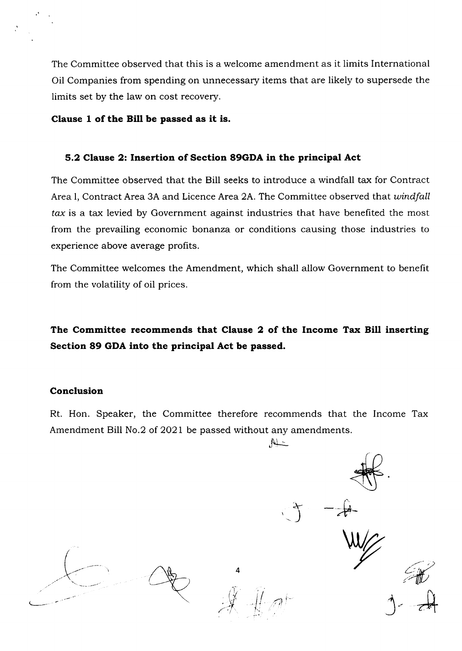The Committee observed that this is a welcome amendment as it limits International Oil Companies from spending on unnecessary items that are likely to supersede the limits set by the law on cost recovery.

### Clause 1 of the Bill be passed as it is.

### 5.2 Clause 2: Insertion of Section 89GDA in the principal Act

The Committee observed that the Bill seeks to introduce a windfall tax for Contract Area I, Contract Area 3A and Licence Area 2A. The Committee observed that windfall tax is a tax levied by Government against industries that have benefited the most from the prevailing economic bonanza or conditions causing those industries to experience above average profits.

The Committee welcomes the Amendment, which shall allow Government to benefit from the volatility of oil prices.

# The Committee recommends that Clause 2 of the Income Tax Bill inserting Section 89 GDA into the principal Act be passed.

### Conclusion

Rt. Hon. Speaker, the Committee therefore recommends that the Income Tax Amendment Bill No.2 of 2021 be passed without any amendments.

 $\mathbb{A}$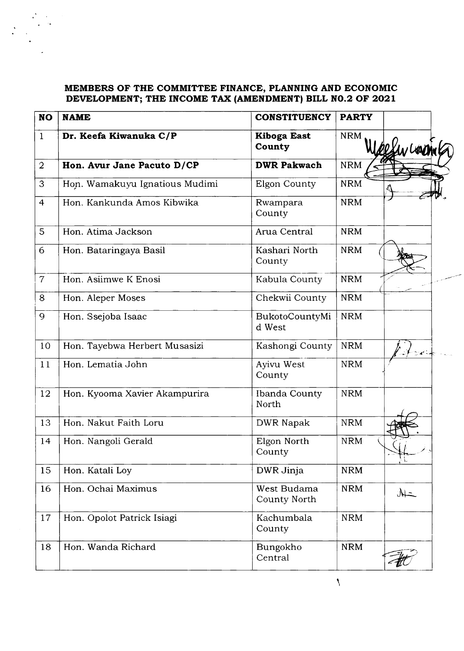## MEMBERS OF THE COMMITTEE FINANCE, PLANNING AND ECONOMIC DEVELOPMENT; THE INCOME TAX (AMENDMENT) BILL NO.2 OF 2021

| <b>NO</b>      | <b>NAME</b>                    | <b>CONSTITUENCY</b>                | <b>PARTY</b> |            |
|----------------|--------------------------------|------------------------------------|--------------|------------|
| $\mathbf{1}$   | Dr. Keefa Kiwanuka C/P         | <b>Kiboga East</b><br>County       | <b>NRM</b>   | Besur Lorm |
| $\overline{2}$ | Hon. Avur Jane Pacuto D/CP     | <b>DWR Pakwach</b>                 | <b>NRM</b>   |            |
| 3              | Hon. Wamakuyu Ignatious Mudimi | Elgon County                       | <b>NRM</b>   |            |
| $\overline{4}$ | Hon. Kankunda Amos Kibwika     | Rwampara<br>County                 | <b>NRM</b>   |            |
| 5              | Hon. Atima Jackson             | Arua Central                       | <b>NRM</b>   |            |
| 6              | Hon. Bataringaya Basil         | Kashari North<br>County            | <b>NRM</b>   |            |
| $\overline{7}$ | Hon. Asiimwe K Enosi           | Kabula County                      | <b>NRM</b>   |            |
| 8              | Hon. Aleper Moses              | Chekwii County                     | <b>NRM</b>   |            |
| 9              | Hon. Ssejoba Isaac             | BukotoCountyMi<br>d West           | <b>NRM</b>   |            |
| 10             | Hon. Tayebwa Herbert Musasizi  | Kashongi County                    | <b>NRM</b>   | يأمي       |
| 11             | Hon. Lematia John              | Ayivu West<br>County               | <b>NRM</b>   |            |
| 12             | Hon. Kyooma Xavier Akampurira  | Ibanda County<br>North             | <b>NRM</b>   |            |
| 13             | Hon. Nakut Faith Loru          | <b>DWR Napak</b>                   | <b>NRM</b>   |            |
| 14             | Hon. Nangoli Gerald            | Elgon North<br>County              | <b>NRM</b>   | W          |
| 15             | Hon. Katali Loy                | DWR Jinja                          | <b>NRM</b>   |            |
| 16             | Hon. Ochai Maximus             | West Budama<br><b>County North</b> | <b>NRM</b>   | $M=$       |
| 17             | Hon. Opolot Patrick Isiagi     | Kachumbala<br>County               | <b>NRM</b>   |            |
| 18             | Hon. Wanda Richard             | Bungokho<br>Central                | <b>NRM</b>   |            |